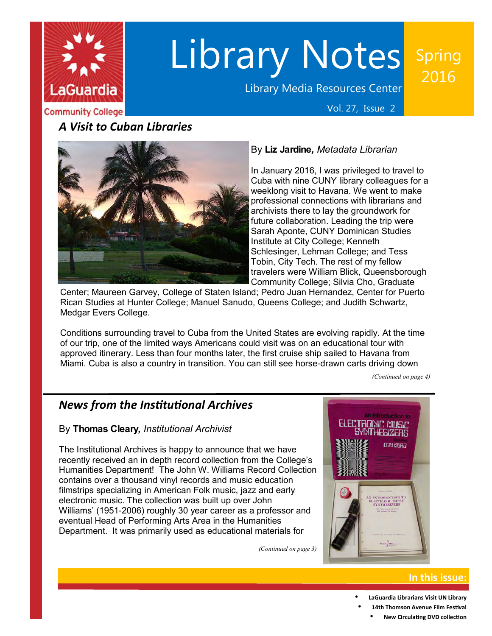

# Library Notes

Library Media Resources Center

## Spring 2016

**Community College** 

Vol. 27, Issue 2

## *A Visit to Cuban Libraries*



## By **Liz Jardine***, Metadata Librarian*

 In January 2016, I was privileged to travel to Cuba with nine CUNY library colleagues for a weeklong visit to Havana. We went to make professional connections with librarians and archivists there to lay the groundwork for future collaboration. Leading the trip were Sarah Aponte, CUNY Dominican Studies Institute at City College; Kenneth Schlesinger, Lehman College; and Tess Tobin, City Tech. The rest of my fellow travelers were William Blick, Queensborough Community College; Silvia Cho, Graduate

 Center; Maureen Garvey, College of Staten Island; Pedro Juan Hernandez, Center for Puerto Rican Studies at Hunter College; Manuel Sanudo, Queens College; and Judith Schwartz, Medgar Evers College.

 Conditions surrounding travel to Cuba from the United States are evolving rapidly. At the time of our trip, one of the limited ways Americans could visit was on an educational tour with approved itinerary. Less than four months later, the first cruise ship sailed to Havana from Miami. Cuba is also a country in transition. You can still see horse-drawn carts driving down

 *(Continued on page 4)*

## *News from the Insttutonal Archives*

#### By **Thomas Cleary***, Institutional Archivist*

 The Institutional Archives is happy to announce that we have recently received an in depth record collection from the College's Humanities Department! The John W. Williams Record Collection contains over a thousand vinyl records and music education filmstrips specializing in American Folk music, jazz and early electronic music. The collection was built up over John Williams' (1951-2006) roughly 30 year career as a professor and eventual Head of Performing Arts Area in the Humanities Department. It was primarily used as educational materials for

 *(Continued on page 3)*



### **In this issue:**

- **LaGuardia Librarians Visit UN Library**
- **14th Thomson Avenue Film Festval •** New Circulating DVD collection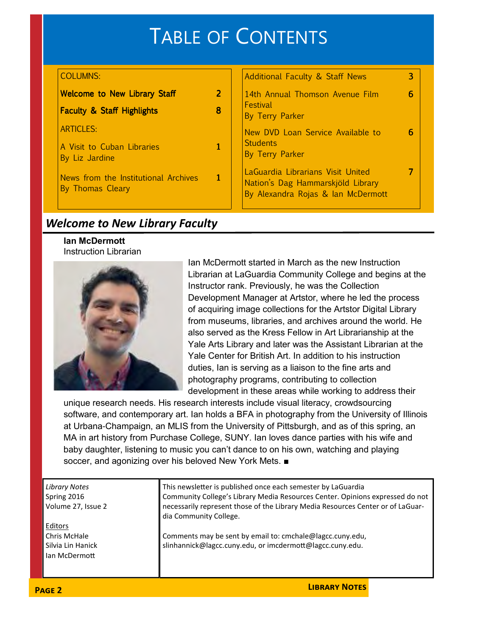#### TABLE OF CONTENTS Additional Faculty & Staff News 3 14th Annual Thomson Avenue Film By Terry Parker 6 New DVD Loan Service Available to By Terry Parker 6 LaGuardia Librarians Visit United Nation's Dag Hammarskjöld Library By Alexandra Rojas & Ian McDermott 7 Welcome to New Library Staff to Meta 2 Faculty & Staff Highlights **B** Stage B A Visit to Cuban Libraries By Liz Jardine 1 News from the Institutional Archives By Thomas Cleary 1 **Festival Students** COLUMNS: ARTICLES:

## *Welcome to New Library Faculty*

**Ian McDermott** Instruction Librarian



 Ian McDermott started in March as the new Instruction Librarian at LaGuardia Community College and begins at the Instructor rank. Previously, he was the Collection Development Manager at Artstor, where he led the process of acquiring image collections for the Artstor Digital Library from museums, libraries, and archives around the world. He also served as the Kress Fellow in Art Librarianship at the Yale Arts Library and later was the Assistant Librarian at the Yale Center for British Art. In addition to his instruction duties, Ian is serving as a liaison to the fine arts and photography programs, contributing to collection development in these areas while working to address their

 unique research needs. His research interests include visual literacy, crowdsourcing software, and contemporary art. Ian holds a BFA in photography from the University of Illinois at Urbana-Champaign, an MLIS from the University of Pittsburgh, and as of this spring, an MA in art history from Purchase College, SUNY. Ian loves dance parties with his wife and baby daughter, listening to music you can't dance to on his own, watching and playing soccer, and agonizing over his beloved New York Mets. ■

 *Library Notes*  Spring 2016 Volume 27, Issue 2

 Chris McHale Silvia Lin Hanick Ian McDermot Editors

This newsletter is published once each semester by LaGuardia Community College's Library Media Resources Center. Opinions expressed do not necessarily represent those of the Library Media Resources Center or of LaGuar-dia Community College.

**LIBRARY NOTES** 

 Comments may be sent by email to: cmchale@lagcc.cuny.edu, slinhannick@lagcc.cuny.edu, or imcdermott@lagcc.cuny.edu.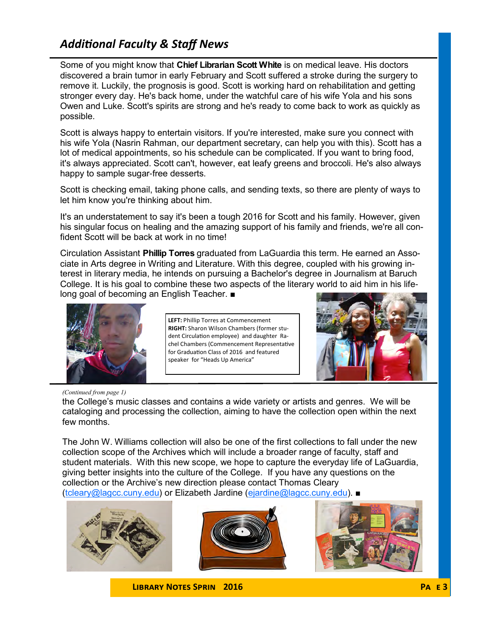## *Additonal Faculty & Staff News*

  Some of you might know that **Chief Librarian Scott White** is on medical leave. His doctors discovered a brain tumor in early February and Scott suffered a stroke during the surgery to remove it. Luckily, the prognosis is good. Scott is working hard on rehabilitation and getting stronger every day. He's back home, under the watchful care of his wife Yola and his sons Owen and Luke. Scott's spirits are strong and he's ready to come back to work as quickly as possible.

 Scott is always happy to entertain visitors. If you're interested, make sure you connect with his wife Yola (Nasrin Rahman, our department secretary, can help you with this). Scott has a lot of medical appointments, so his schedule can be complicated. If you want to bring food, it's always appreciated. Scott can't, however, eat leafy greens and broccoli. He's also always happy to sample sugar-free desserts.

 Scott is checking email, taking phone calls, and sending texts, so there are plenty of ways to let him know you're thinking about him.

 It's an understatement to say it's been a tough 2016 for Scott and his family. However, given his singular focus on healing and the amazing support of his family and friends, we're all con-fident Scott will be back at work in no time!

  Circulation Assistant **Phillip Torres** graduated from LaGuardia this term. He earned an Asso- ciate in Arts degree in Writing and Literature. With this degree, coupled with his growing in- terest in literary media, he intends on pursuing a Bachelor's degree in Journalism at Baruch College. It is his goal to combine these two aspects of the literary world to aid him in his life-long goal of becoming an English Teacher. ■



 **LEFT:** Phillip Torres at Commencement **RIGHT:** Sharon Wilson Chambers (former student Circulation employee) and daughter Ra- chel Chambers (Commencement Representatve for Graduation Class of 2016 and featured speaker for "Heads Up America"



#### *(Continued from page 1)*

 the College's music classes and contains a wide variety or artists and genres. We will be cataloging and processing the collection, aiming to have the collection open within the next few months.

 The John W. Williams collection will also be one of the first collections to fall under the new collection scope of the Archives which will include a broader range of faculty, staff and student materials. With this new scope, we hope to capture the everyday life of LaGuardia, giving better insights into the culture of the College. If you have any questions on the collection or the Archive's new direction please contact Thomas Cleary (tcleary@lagcc.cuny.edu) or Elizabeth Jardine (ejardine@lagcc.cuny.edu). ■







**LIBRARY NOTES SPRIN 2016 PA E 3**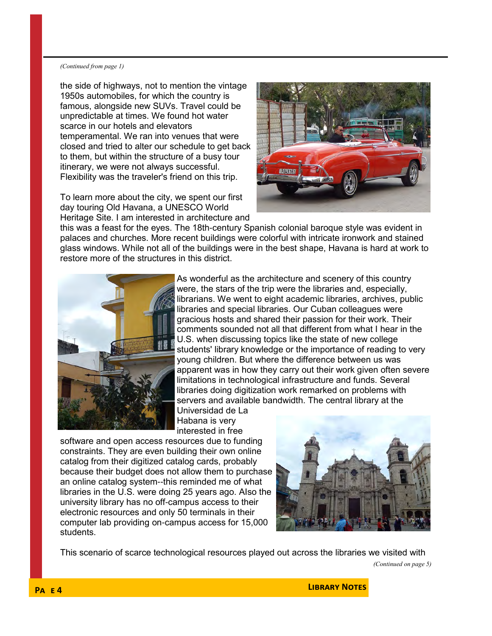#### *(Continued from page 1)*

 the side of highways, not to mention the vintage 1950s automobiles, for which the country is famous, alongside new SUVs. Travel could be unpredictable at times. We found hot water scarce in our hotels and elevators temperamental. We ran into venues that were closed and tried to alter our schedule to get back to them, but within the structure of a busy tour itinerary, we were not always successful. Flexibility was the traveler's friend on this trip.

 To learn more about the city, we spent our first day touring Old Havana, a UNESCO World Heritage Site. I am interested in architecture and



 this was a feast for the eyes. The 18th-century Spanish colonial baroque style was evident in palaces and churches. More recent buildings were colorful with intricate ironwork and stained glass windows. While not all of the buildings were in the best shape, Havana is hard at work to restore more of the structures in this district.



 As wonderful as the architecture and scenery of this country were, the stars of the trip were the libraries and, especially, librarians. We went to eight academic libraries, archives, public libraries and special libraries. Our Cuban colleagues were gracious hosts and shared their passion for their work. Their comments sounded not all that different from what I hear in the U.S. when discussing topics like the state of new college students' library knowledge or the importance of reading to very young children. But where the difference between us was apparent was in how they carry out their work given often severe limitations in technological infrastructure and funds. Several libraries doing digitization work remarked on problems with servers and available bandwidth. The central library at the Universidad de La

 Habana is very interested in free

 software and open access resources due to funding constraints. They are even building their own online catalog from their digitized catalog cards, probably because their budget does not allow them to purchase an online catalog system--this reminded me of what libraries in the U.S. were doing 25 years ago. AIso the university library has no off-campus access to their electronic resources and only 50 terminals in their computer lab providing on-campus access for 15,000 students.



This scenario of scarce technological resources played out across the libraries we visited with

 *(Continued on page 5)*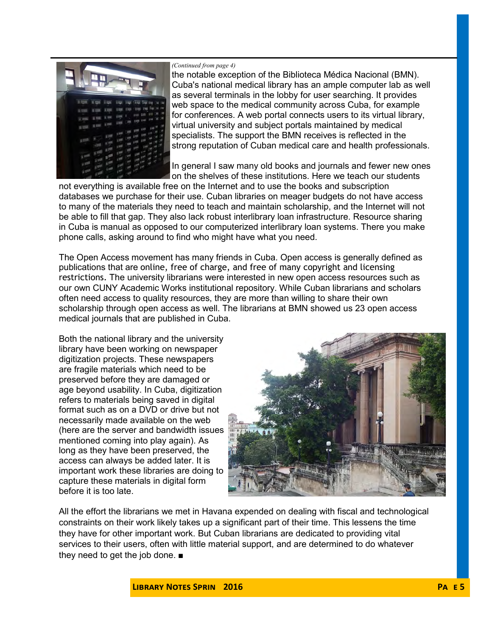

#### *(Continued from page 4)*

 the notable exception of the Biblioteca Médica Nacional (BMN). Cuba's national medical library has an ample computer lab as well as several terminals in the lobby for user searching. It provides web space to the medical community across Cuba, for example for conferences. A web portal connects users to its virtual library, virtual university and subject portals maintained by medical specialists. The support the BMN receives is reflected in the strong reputation of Cuban medical care and health professionals.

 In general I saw many old books and journals and fewer new ones on the shelves of these institutions. Here we teach our students

 not everything is available free on the Internet and to use the books and subscription databases we purchase for their use. Cuban libraries on meager budgets do not have access to many of the materials they need to teach and maintain scholarship, and the Internet will not be able to fill that gap. They also lack robust interlibrary loan infrastructure. Resource sharing in Cuba is manual as opposed to our computerized interlibrary loan systems. There you make phone calls, asking around to find who might have what you need.

 The Open Access movement has many friends in Cuba. Open access is generally defined as publications that are online, free of charge, and free of many copyright and licensing restrictions. The university librarians were interested in new open access resources such as our own CUNY Academic Works institutional repository. While Cuban librarians and scholars often need access to quality resources, they are more than willing to share their own scholarship through open access as well. The librarians at BMN showed us 23 open access medical journals that are published in Cuba.

 Both the national library and the university library have been working on newspaper digitization projects. These newspapers are fragile materials which need to be preserved before they are damaged or age beyond usability. In Cuba, digitization refers to materials being saved in digital format such as on a DVD or drive but not necessarily made available on the web (here are the server and bandwidth issues mentioned coming into play again). As long as they have been preserved, the access can always be added later. It is important work these libraries are doing to capture these materials in digital form before it is too late.



 All the effort the librarians we met in Havana expended on dealing with fiscal and technological constraints on their work likely takes up a significant part of their time. This lessens the time they have for other important work. But Cuban librarians are dedicated to providing vital services to their users, often with little material support, and are determined to do whatever they need to get the job done. ■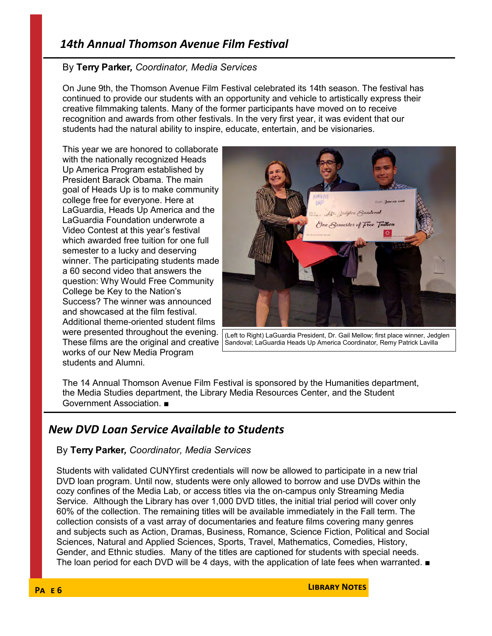## *14th Annual Thomson Avenue Film Festval*

#### By **Terry Parker***, Coordinator, Media Services*

 On June 9th, the Thomson Avenue Film Festival celebrated its 14th season. The festival has continued to provide our students with an opportunity and vehicle to artistically express their creative filmmaking talents. Many of the former participants have moved on to receive recognition and awards from other festivals. In the very first year, it was evident that our students had the natural ability to inspire, educate, entertain, and be visionaries.

 This year we are honored to collaborate with the nationally recognized Heads Up America Program established by President Barack Obama. The main goal of Heads Up is to make community college free for everyone. Here at LaGuardia, Heads Up America and the LaGuardia Foundation underwrote a Video Contest at this year's festival which awarded free tuition for one full semester to a lucky and deserving winner. The participating students made a 60 second video that answers the question: Why Would Free Community College be Key to the Nation's Success? The winner was announced and showcased at the film festival. Additional theme-oriented student films were presented throughout the evening. These films are the original and creative works of our New Media Program students and Alumni.



 (Left to Right) LaGuardia President, Dr. Gail Mellow; first place winner, Jedglen Sandoval; LaGuardia Heads Up America Coordinator, Remy Patrick Lavilla

 The 14 Annual Thomson Avenue Film Festival is sponsored by the Humanities department, the Media Studies department, the Library Media Resources Center, and the Student Government Association. ■

## *New DVD Loan Service Available to Students*

#### By **Terry Parker***, Coordinator, Media Services*

 Students with validated CUNYfirst credentials will now be allowed to participate in a new trial DVD loan program. Until now, students were only allowed to borrow and use DVDs within the cozy confines of the Media Lab, or access titles via the on-campus only Streaming Media Service. Although the Library has over 1,000 DVD titles, the initial trial period will cover only 60% of the collection. The remaining titles will be available immediately in the Fall term. The collection consists of a vast array of documentaries and feature films covering many genres and subjects such as Action, Dramas, Business, Romance, Science Fiction, Political and Social Sciences, Natural and Applied Sciences, Sports, Travel, Mathematics, Comedies, History, Gender, and Ethnic studies. Many of the titles are captioned for students with special needs. The loan period for each DVD will be 4 days, with the application of late fees when warranted. ■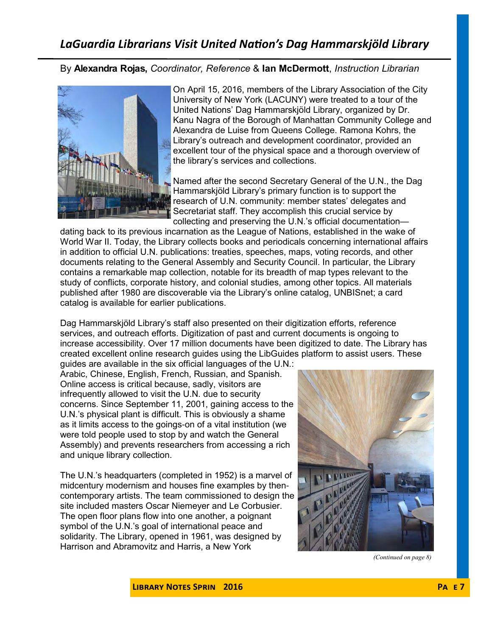## *LaGuardia Librarians Visit United Naton's Dag Hammarskjöld Library*

 By **Alexandra Rojas,** *Coordinator, Reference* & **Ian McDermott**, *Instruction Librarian*



 On April 15, 2016, members of the Library Association of the City University of New York (LACUNY) were treated to a tour of the United Nations' Dag Hammarskjöld Library, organized by Dr. Kanu Nagra of the Borough of Manhattan Community College and Alexandra de Luise from Queens College. Ramona Kohrs, the Library's outreach and development coordinator, provided an excellent tour of the physical space and a thorough overview of the library's services and collections.

 Named after the second Secretary General of the U.N., the Dag Hammarskjöld Library's primary function is to support the research of U.N. community: member states' delegates and Secretariat staff. They accomplish this crucial service by collecting and preserving the U.N.'s official documentation—

 dating back to its previous incarnation as the League of Nations, established in the wake of World War II. Today, the Library collects books and periodicals concerning international affairs in addition to official U.N. publications: treaties, speeches, maps, voting records, and other documents relating to the General Assembly and Security Council. In particular, the Library contains a remarkable map collection, notable for its breadth of map types relevant to the study of conflicts, corporate history, and colonial studies, among other topics. All materials published after 1980 are discoverable via the Library's online catalog, UNBISnet; a card catalog is available for earlier publications.

 Dag Hammarskjöld Library's staff also presented on their digitization efforts, reference services, and outreach efforts. Digitization of past and current documents is ongoing to increase accessibility. Over 17 million documents have been digitized to date. The Library has created excellent online research guides using the LibGuides platform to assist users. These guides are available in the six official languages of the U.N.:

 Arabic, Chinese, English, French, Russian, and Spanish. Online access is critical because, sadly, visitors are infrequently allowed to visit the U.N. due to security concerns. Since September 11, 2001, gaining access to the U.N.'s physical plant is difficult. This is obviously a shame as it limits access to the goings-on of a vital institution (we were told people used to stop by and watch the General Assembly) and prevents researchers from accessing a rich and unique library collection.

 The U.N.'s headquarters (completed in 1952) is a marvel of midcentury modernism and houses fine examples by then- contemporary artists. The team commissioned to design the site included masters Oscar Niemeyer and Le Corbusier. The open floor plans flow into one another, a poignant symbol of the U.N.'s goal of international peace and solidarity. The Library, opened in 1961, was designed by Harrison and Abramovitz and Harris, a New York



 *(Continued on page 8)*